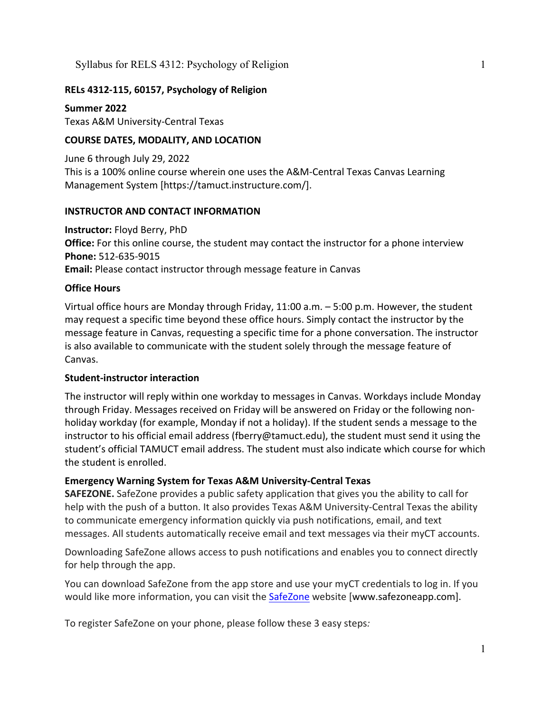# **RELs 4312-115, 60157, Psychology of Religion**

**Summer 2022** Texas A&M University-Central Texas

# **COURSE DATES, MODALITY, AND LOCATION**

June 6 through July 29, 2022 This is a 100% online course wherein one uses the A&M-Central Texas Canvas Learning Management System [https://tamuct.instructure.com/].

# **INSTRUCTOR AND CONTACT INFORMATION**

**Instructor:** Floyd Berry, PhD **Office:** For this online course, the student may contact the instructor for a phone interview **Phone:** 512-635-9015 **Email:** Please contact instructor through message feature in Canvas

# **Office Hours**

Virtual office hours are Monday through Friday, 11:00 a.m. – 5:00 p.m. However, the student may request a specific time beyond these office hours. Simply contact the instructor by the message feature in Canvas, requesting a specific time for a phone conversation. The instructor is also available to communicate with the student solely through the message feature of Canvas.

### **Student-instructor interaction**

The instructor will reply within one workday to messages in Canvas. Workdays include Monday through Friday. Messages received on Friday will be answered on Friday or the following nonholiday workday (for example, Monday if not a holiday). If the student sends a message to the instructor to his official email address (fberry@tamuct.edu), the student must send it using the student's official TAMUCT email address. The student must also indicate which course for which the student is enrolled.

### **Emergency Warning System for Texas A&M University-Central Texas**

**SAFEZONE.** SafeZone provides a public safety application that gives you the ability to call for help with the push of a button. It also provides Texas A&M University-Central Texas the ability to communicate emergency information quickly via push notifications, email, and text messages. All students automatically receive email and text messages via their myCT accounts.

Downloading SafeZone allows access to push notifications and enables you to connect directly for help through the app.

You can download SafeZone from the app store and use your myCT credentials to log in. If you would like more information, you can visit the [SafeZone](http://www.safezoneapp.com/) website [www.safezoneapp.com].

To register SafeZone on your phone, please follow these 3 easy steps*:*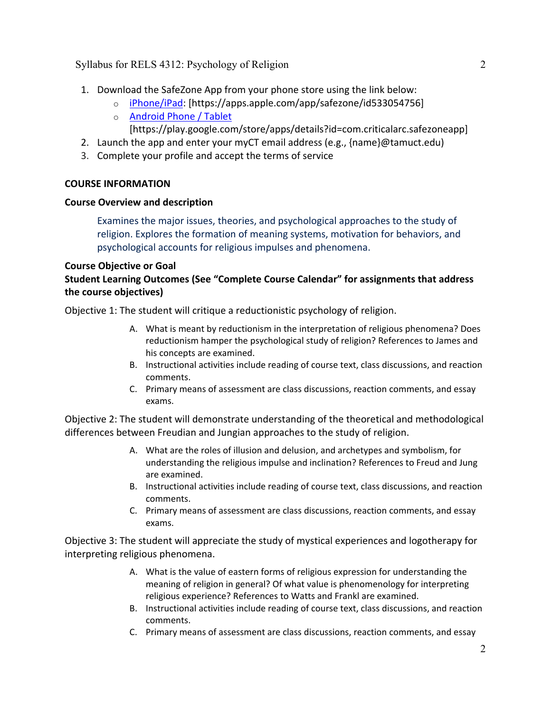- 1. Download the SafeZone App from your phone store using the link below:
	- o [iPhone/iPad:](https://apps.apple.com/app/safezone/id533054756) [https://apps.apple.com/app/safezone/id533054756]
	- o [Android Phone / Tablet](https://play.google.com/store/apps/details?id=com.criticalarc.safezoneapp) [https://play.google.com/store/apps/details?id=com.criticalarc.safezoneapp]
- 2. Launch the app and enter your myCT email address (e.g., {name}@tamuct.edu)
- 3. Complete your profile and accept the terms of service

# **COURSE INFORMATION**

# **Course Overview and description**

Examines the major issues, theories, and psychological approaches to the study of religion. Explores the formation of meaning systems, motivation for behaviors, and psychological accounts for religious impulses and phenomena.

# **Course Objective or Goal**

# **Student Learning Outcomes (See "Complete Course Calendar" for assignments that address the course objectives)**

Objective 1: The student will critique a reductionistic psychology of religion.

- A. What is meant by reductionism in the interpretation of religious phenomena? Does reductionism hamper the psychological study of religion? References to James and his concepts are examined.
- B. Instructional activities include reading of course text, class discussions, and reaction comments.
- C. Primary means of assessment are class discussions, reaction comments, and essay exams.

Objective 2: The student will demonstrate understanding of the theoretical and methodological differences between Freudian and Jungian approaches to the study of religion.

- A. What are the roles of illusion and delusion, and archetypes and symbolism, for understanding the religious impulse and inclination? References to Freud and Jung are examined.
- B. Instructional activities include reading of course text, class discussions, and reaction comments.
- C. Primary means of assessment are class discussions, reaction comments, and essay exams.

Objective 3: The student will appreciate the study of mystical experiences and logotherapy for interpreting religious phenomena.

- A. What is the value of eastern forms of religious expression for understanding the meaning of religion in general? Of what value is phenomenology for interpreting religious experience? References to Watts and Frankl are examined.
- B. Instructional activities include reading of course text, class discussions, and reaction comments.
- C. Primary means of assessment are class discussions, reaction comments, and essay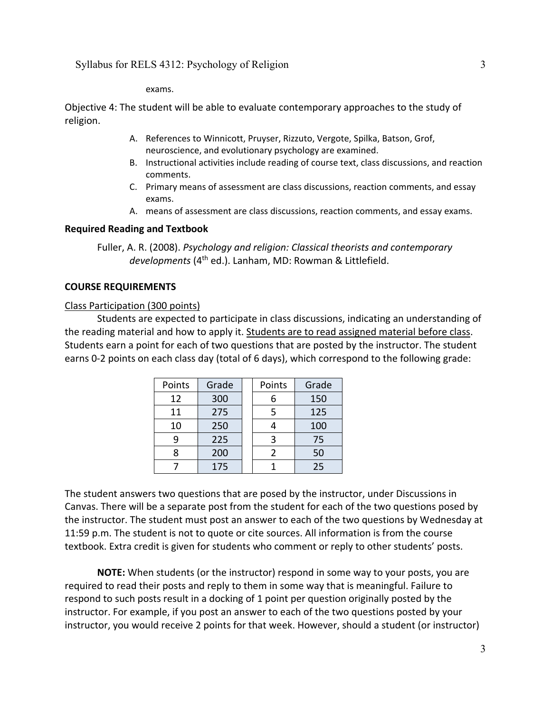exams.

Objective 4: The student will be able to evaluate contemporary approaches to the study of religion.

- A. References to Winnicott, Pruyser, Rizzuto, Vergote, Spilka, Batson, Grof, neuroscience, and evolutionary psychology are examined.
- B. Instructional activities include reading of course text, class discussions, and reaction comments.
- C. Primary means of assessment are class discussions, reaction comments, and essay exams.
- A. means of assessment are class discussions, reaction comments, and essay exams.

#### **Required Reading and Textbook**

Fuller, A. R. (2008). *Psychology and religion: Classical theorists and contemporary developments* (4th ed.). Lanham, MD: Rowman & Littlefield.

### **COURSE REQUIREMENTS**

#### Class Participation (300 points)

Students are expected to participate in class discussions, indicating an understanding of the reading material and how to apply it. Students are to read assigned material before class. Students earn a point for each of two questions that are posted by the instructor. The student earns 0-2 points on each class day (total of 6 days), which correspond to the following grade:

| Points | Grade | Points        | Grade |
|--------|-------|---------------|-------|
| 12     | 300   |               | 150   |
| 11     | 275   | 5             | 125   |
| 10     | 250   |               | 100   |
| q      | 225   | 3             | 75    |
|        | 200   | $\mathcal{P}$ | 50    |
|        | 175   |               | 25    |

The student answers two questions that are posed by the instructor, under Discussions in Canvas. There will be a separate post from the student for each of the two questions posed by the instructor. The student must post an answer to each of the two questions by Wednesday at 11:59 p.m. The student is not to quote or cite sources. All information is from the course textbook. Extra credit is given for students who comment or reply to other students' posts.

**NOTE:** When students (or the instructor) respond in some way to your posts, you are required to read their posts and reply to them in some way that is meaningful. Failure to respond to such posts result in a docking of 1 point per question originally posted by the instructor. For example, if you post an answer to each of the two questions posted by your instructor, you would receive 2 points for that week. However, should a student (or instructor)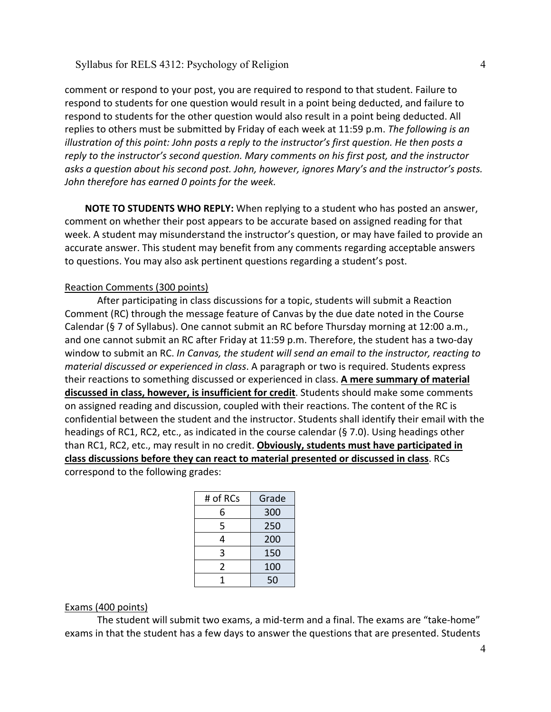comment or respond to your post, you are required to respond to that student. Failure to respond to students for one question would result in a point being deducted, and failure to respond to students for the other question would also result in a point being deducted. All replies to others must be submitted by Friday of each week at 11:59 p.m. *The following is an illustration of this point: John posts a reply to the instructor's first question. He then posts a reply to the instructor's second question. Mary comments on his first post, and the instructor asks a question about his second post. John, however, ignores Mary's and the instructor's posts. John therefore has earned 0 points for the week.*

**NOTE TO STUDENTS WHO REPLY:** When replying to a student who has posted an answer, comment on whether their post appears to be accurate based on assigned reading for that week. A student may misunderstand the instructor's question, or may have failed to provide an accurate answer. This student may benefit from any comments regarding acceptable answers to questions. You may also ask pertinent questions regarding a student's post.

#### Reaction Comments (300 points)

After participating in class discussions for a topic, students will submit a Reaction Comment (RC) through the message feature of Canvas by the due date noted in the Course Calendar (§ 7 of Syllabus). One cannot submit an RC before Thursday morning at 12:00 a.m., and one cannot submit an RC after Friday at 11:59 p.m. Therefore, the student has a two-day window to submit an RC. *In Canvas, the student will send an email to the instructor, reacting to material discussed or experienced in class*. A paragraph or two is required. Students express their reactions to something discussed or experienced in class. **A mere summary of material discussed in class, however, is insufficient for credit**. Students should make some comments on assigned reading and discussion, coupled with their reactions. The content of the RC is confidential between the student and the instructor. Students shall identify their email with the headings of RC1, RC2, etc., as indicated in the course calendar (§ 7.0). Using headings other than RC1, RC2, etc., may result in no credit. **Obviously, students must have participated in class discussions before they can react to material presented or discussed in class**. RCs correspond to the following grades:

| # of RCs | Grade |  |
|----------|-------|--|
| 6        | 300   |  |
| 5        | 250   |  |
| 4        | 200   |  |
| 3        | 150   |  |
| 2        | 100   |  |
| 1        | 50    |  |

#### Exams (400 points)

The student will submit two exams, a mid-term and a final. The exams are "take-home" exams in that the student has a few days to answer the questions that are presented. Students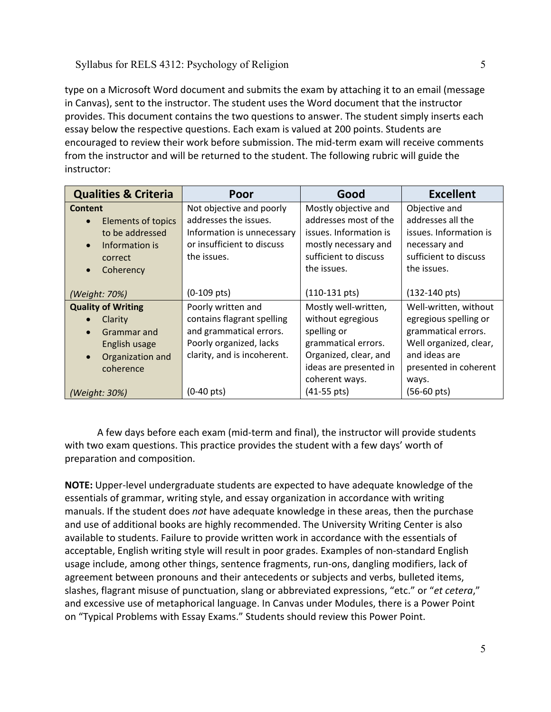type on a Microsoft Word document and submits the exam by attaching it to an email (message in Canvas), sent to the instructor. The student uses the Word document that the instructor provides. This document contains the two questions to answer. The student simply inserts each essay below the respective questions. Each exam is valued at 200 points. Students are encouraged to review their work before submission. The mid-term exam will receive comments from the instructor and will be returned to the student. The following rubric will guide the instructor:

| <b>Qualities &amp; Criteria</b> | Poor                        | Good                    | <b>Excellent</b>        |
|---------------------------------|-----------------------------|-------------------------|-------------------------|
| <b>Content</b>                  | Not objective and poorly    | Mostly objective and    | Objective and           |
| Elements of topics<br>$\bullet$ | addresses the issues.       | addresses most of the   | addresses all the       |
| to be addressed                 | Information is unnecessary  | issues. Information is  | issues. Information is  |
| Information is<br>$\bullet$     | or insufficient to discuss  | mostly necessary and    | necessary and           |
| correct                         | the issues.                 | sufficient to discuss   | sufficient to discuss   |
| Coherency<br>$\bullet$          |                             | the issues.             | the issues.             |
|                                 |                             |                         |                         |
| (Weight: 70%)                   | $(0-109$ pts)               | $(110-131 \text{ pts})$ | $(132-140 \text{ pts})$ |
| <b>Quality of Writing</b>       | Poorly written and          | Mostly well-written,    | Well-written, without   |
| Clarity                         | contains flagrant spelling  | without egregious       | egregious spelling or   |
| Grammar and<br>$\bullet$        | and grammatical errors.     | spelling or             | grammatical errors.     |
| English usage                   | Poorly organized, lacks     | grammatical errors.     | Well organized, clear,  |
| Organization and<br>$\bullet$   | clarity, and is incoherent. | Organized, clear, and   | and ideas are           |
| coherence                       |                             | ideas are presented in  | presented in coherent   |
|                                 |                             | coherent ways.          | ways.                   |
| (Weight: 30%)                   | $(0-40 \text{ pts})$        | $(41-55 \text{ pts})$   | (56-60 pts)             |

A few days before each exam (mid-term and final), the instructor will provide students with two exam questions. This practice provides the student with a few days' worth of preparation and composition.

**NOTE:** Upper-level undergraduate students are expected to have adequate knowledge of the essentials of grammar, writing style, and essay organization in accordance with writing manuals. If the student does *not* have adequate knowledge in these areas, then the purchase and use of additional books are highly recommended. The University Writing Center is also available to students. Failure to provide written work in accordance with the essentials of acceptable, English writing style will result in poor grades. Examples of non-standard English usage include, among other things, sentence fragments, run-ons, dangling modifiers, lack of agreement between pronouns and their antecedents or subjects and verbs, bulleted items, slashes, flagrant misuse of punctuation, slang or abbreviated expressions, "etc." or "*et cetera*," and excessive use of metaphorical language. In Canvas under Modules, there is a Power Point on "Typical Problems with Essay Exams." Students should review this Power Point.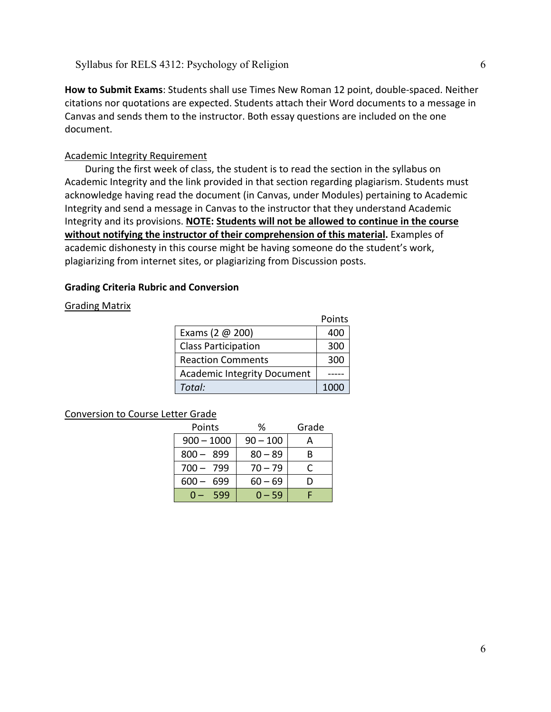**How to Submit Exams**: Students shall use Times New Roman 12 point, double-spaced. Neither citations nor quotations are expected. Students attach their Word documents to a message in Canvas and sends them to the instructor. Both essay questions are included on the one document.

### Academic Integrity Requirement

During the first week of class, the student is to read the section in the syllabus on Academic Integrity and the link provided in that section regarding plagiarism. Students must acknowledge having read the document (in Canvas, under Modules) pertaining to Academic Integrity and send a message in Canvas to the instructor that they understand Academic Integrity and its provisions. **NOTE: Students will not be allowed to continue in the course**  without notifying the instructor of their comprehension of this material. Examples of academic dishonesty in this course might be having someone do the student's work, plagiarizing from internet sites, or plagiarizing from Discussion posts.

### **Grading Criteria Rubric and Conversion**

#### Grading Matrix

|                                    | Points |
|------------------------------------|--------|
| Exams (2 $@$ 200)                  | 400    |
| <b>Class Participation</b>         | 300    |
| <b>Reaction Comments</b>           | 300    |
| <b>Academic Integrity Document</b> |        |
| Total:                             | 1000   |

#### Conversion to Course Letter Grade

| Points           | ℅          | Grade |
|------------------|------------|-------|
| $900 - 1000$     | $90 - 100$ |       |
| $800 -$<br>-899  | $80 - 89$  | В     |
| $700 -$<br>- 799 | $70 - 79$  |       |
| $600 -$<br>699   | $60 - 69$  | Ð     |
| 599              | $0 - 59$   |       |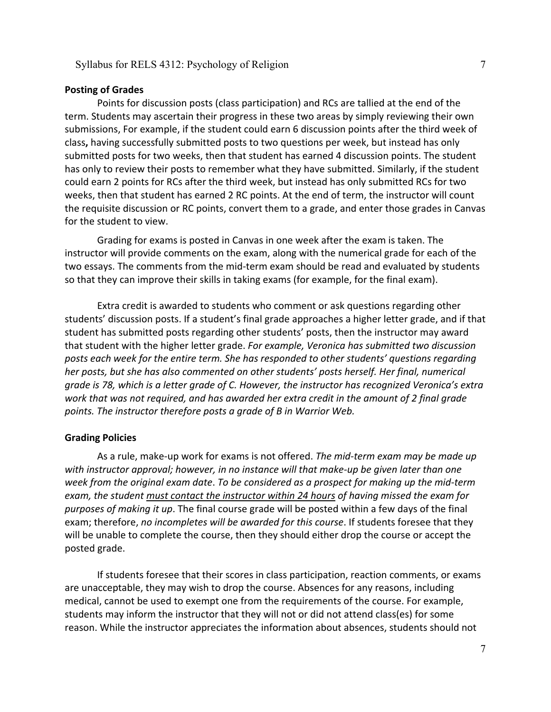#### **Posting of Grades**

Points for discussion posts (class participation) and RCs are tallied at the end of the term. Students may ascertain their progress in these two areas by simply reviewing their own submissions, For example, if the student could earn 6 discussion points after the third week of class**,** having successfully submitted posts to two questions per week, but instead has only submitted posts for two weeks, then that student has earned 4 discussion points. The student has only to review their posts to remember what they have submitted. Similarly, if the student could earn 2 points for RCs after the third week, but instead has only submitted RCs for two weeks, then that student has earned 2 RC points. At the end of term, the instructor will count the requisite discussion or RC points, convert them to a grade, and enter those grades in Canvas for the student to view.

Grading for exams is posted in Canvas in one week after the exam is taken. The instructor will provide comments on the exam, along with the numerical grade for each of the two essays. The comments from the mid-term exam should be read and evaluated by students so that they can improve their skills in taking exams (for example, for the final exam).

Extra credit is awarded to students who comment or ask questions regarding other students' discussion posts. If a student's final grade approaches a higher letter grade, and if that student has submitted posts regarding other students' posts, then the instructor may award that student with the higher letter grade. *For example, Veronica has submitted two discussion posts each week for the entire term. She has responded to other students' questions regarding her posts, but she has also commented on other students' posts herself. Her final, numerical grade is 78, which is a letter grade of C. However, the instructor has recognized Veronica's extra work that was not required, and has awarded her extra credit in the amount of 2 final grade points. The instructor therefore posts a grade of B in Warrior Web.*

#### **Grading Policies**

As a rule, make-up work for exams is not offered. *The mid-term exam may be made up with instructor approval; however, in no instance will that make-up be given later than one week from the original exam date*. *To be considered as a prospect for making up the mid-term exam, the student must contact the instructor within 24 hours of having missed the exam for purposes of making it up*. The final course grade will be posted within a few days of the final exam; therefore, *no incompletes will be awarded for this course*. If students foresee that they will be unable to complete the course, then they should either drop the course or accept the posted grade.

If students foresee that their scores in class participation, reaction comments, or exams are unacceptable, they may wish to drop the course. Absences for any reasons, including medical, cannot be used to exempt one from the requirements of the course. For example, students may inform the instructor that they will not or did not attend class(es) for some reason. While the instructor appreciates the information about absences, students should not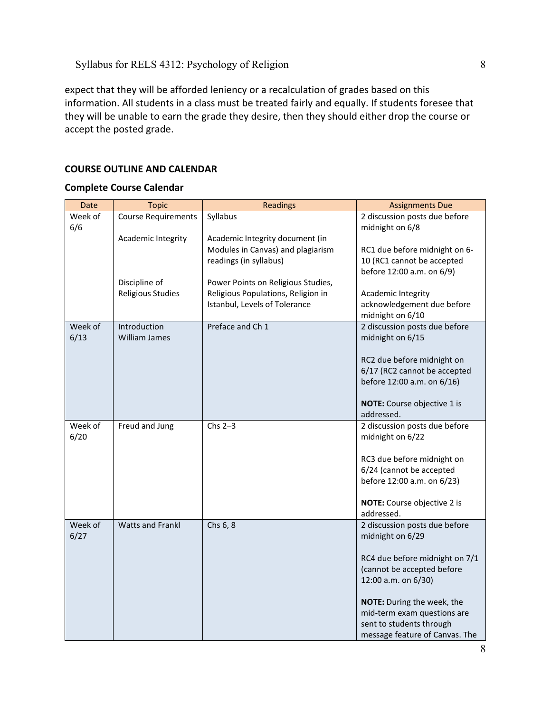expect that they will be afforded leniency or a recalculation of grades based on this information. All students in a class must be treated fairly and equally. If students foresee that they will be unable to earn the grade they desire, then they should either drop the course or accept the posted grade.

# **COURSE OUTLINE AND CALENDAR**

### **Complete Course Calendar**

| Date            | <b>Topic</b>               | <b>Readings</b>                    | <b>Assignments Due</b>                            |
|-----------------|----------------------------|------------------------------------|---------------------------------------------------|
| Week of<br>6/6  | <b>Course Requirements</b> | Syllabus                           | 2 discussion posts due before<br>midnight on 6/8  |
|                 | Academic Integrity         | Academic Integrity document (in    |                                                   |
|                 |                            | Modules in Canvas) and plagiarism  | RC1 due before midnight on 6-                     |
|                 |                            | readings (in syllabus)             | 10 (RC1 cannot be accepted                        |
|                 |                            |                                    | before 12:00 a.m. on 6/9)                         |
|                 | Discipline of              | Power Points on Religious Studies, |                                                   |
|                 | Religious Studies          | Religious Populations, Religion in | Academic Integrity                                |
|                 |                            | Istanbul, Levels of Tolerance      | acknowledgement due before                        |
| Week of         | Introduction               | Preface and Ch 1                   | midnight on 6/10<br>2 discussion posts due before |
| 6/13            | William James              |                                    | midnight on 6/15                                  |
|                 |                            |                                    |                                                   |
|                 |                            |                                    | RC2 due before midnight on                        |
|                 |                            |                                    | 6/17 (RC2 cannot be accepted                      |
|                 |                            |                                    | before 12:00 a.m. on 6/16)                        |
|                 |                            |                                    |                                                   |
|                 |                            |                                    | NOTE: Course objective 1 is                       |
|                 |                            |                                    | addressed.                                        |
| Week of<br>6/20 | Freud and Jung             | $Chs 2-3$                          | 2 discussion posts due before                     |
|                 |                            |                                    | midnight on 6/22                                  |
|                 |                            |                                    | RC3 due before midnight on                        |
|                 |                            |                                    | 6/24 (cannot be accepted                          |
|                 |                            |                                    | before 12:00 a.m. on 6/23)                        |
|                 |                            |                                    |                                                   |
|                 |                            |                                    | NOTE: Course objective 2 is                       |
|                 |                            |                                    | addressed.                                        |
| Week of         | <b>Watts and Frankl</b>    | Chs 6, 8                           | 2 discussion posts due before                     |
| 6/27            |                            |                                    | midnight on 6/29                                  |
|                 |                            |                                    | RC4 due before midnight on 7/1                    |
|                 |                            |                                    | (cannot be accepted before                        |
|                 |                            |                                    | 12:00 a.m. on 6/30)                               |
|                 |                            |                                    |                                                   |
|                 |                            |                                    | NOTE: During the week, the                        |
|                 |                            |                                    | mid-term exam questions are                       |
|                 |                            |                                    | sent to students through                          |
|                 |                            |                                    | message feature of Canvas. The                    |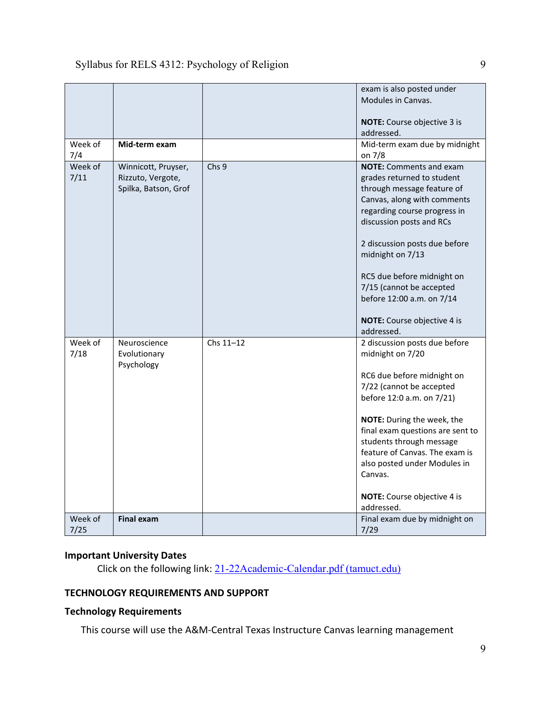| Week of         | Mid-term exam                                                    |           | exam is also posted under<br>Modules in Canvas.<br>NOTE: Course objective 3 is<br>addressed.<br>Mid-term exam due by midnight                                                                                                                                                                                                                                                  |
|-----------------|------------------------------------------------------------------|-----------|--------------------------------------------------------------------------------------------------------------------------------------------------------------------------------------------------------------------------------------------------------------------------------------------------------------------------------------------------------------------------------|
| 7/4             |                                                                  |           | on 7/8                                                                                                                                                                                                                                                                                                                                                                         |
| Week of<br>7/11 | Winnicott, Pruyser,<br>Rizzuto, Vergote,<br>Spilka, Batson, Grof | Chs 9     | <b>NOTE:</b> Comments and exam<br>grades returned to student<br>through message feature of<br>Canvas, along with comments<br>regarding course progress in<br>discussion posts and RCs<br>2 discussion posts due before<br>midnight on 7/13<br>RC5 due before midnight on<br>7/15 (cannot be accepted<br>before 12:00 a.m. on 7/14<br>NOTE: Course objective 4 is<br>addressed. |
| Week of<br>7/18 | Neuroscience<br>Evolutionary<br>Psychology                       | Chs 11-12 | 2 discussion posts due before<br>midnight on 7/20<br>RC6 due before midnight on<br>7/22 (cannot be accepted<br>before 12:0 a.m. on 7/21)<br>NOTE: During the week, the<br>final exam questions are sent to<br>students through message<br>feature of Canvas. The exam is<br>also posted under Modules in<br>Canvas.<br>NOTE: Course objective 4 is<br>addressed.               |
| Week of<br>7/25 | <b>Final exam</b>                                                |           | Final exam due by midnight on<br>7/29                                                                                                                                                                                                                                                                                                                                          |

# **Important University Dates**

Click on the following link: [21-22Academic-Calendar.pdf \(tamuct.edu\)](https://www.tamuct.edu/registrar/docs/21-22Academic-Calendar.pdf)

# **TECHNOLOGY REQUIREMENTS AND SUPPORT**

# **Technology Requirements**

This course will use the A&M-Central Texas Instructure Canvas learning management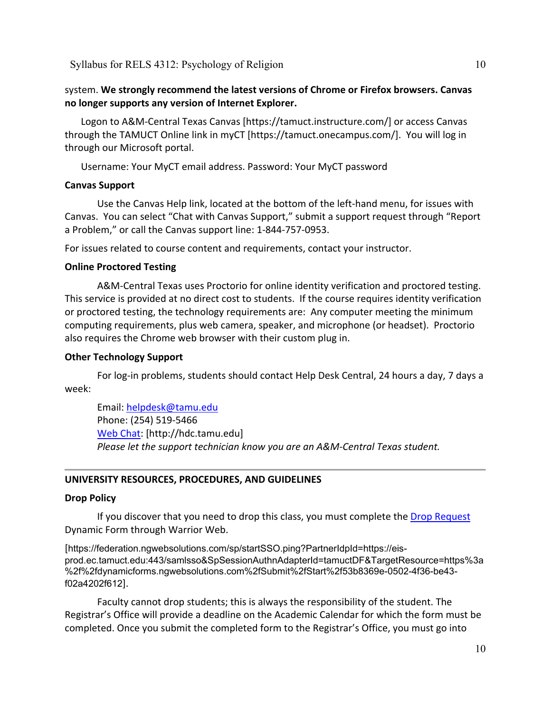# system. **We strongly recommend the latest versions of Chrome or Firefox browsers. Canvas no longer supports any version of Internet Explorer.**

Logon to A&M-Central Texas Canvas [https://tamuct.instructure.com/] or access Canvas through the TAMUCT Online link in myCT [https://tamuct.onecampus.com/]. You will log in through our Microsoft portal.

Username: Your MyCT email address. Password: Your MyCT password

### **Canvas Support**

Use the Canvas Help link, located at the bottom of the left-hand menu, for issues with Canvas. You can select "Chat with Canvas Support," submit a support request through "Report a Problem," or call the Canvas support line: 1-844-757-0953.

For issues related to course content and requirements, contact your instructor.

### **Online Proctored Testing**

A&M-Central Texas uses Proctorio for online identity verification and proctored testing. This service is provided at no direct cost to students. If the course requires identity verification or proctored testing, the technology requirements are: Any computer meeting the minimum computing requirements, plus web camera, speaker, and microphone (or headset). Proctorio also requires the Chrome web browser with their custom plug in.

### **Other Technology Support**

For log-in problems, students should contact Help Desk Central, 24 hours a day, 7 days a week:

Email: [helpdesk@tamu.edu](mailto:helpdesk@tamu.edu) Phone: (254) 519-5466 [Web Chat:](http://hdc.tamu.edu/) [http://hdc.tamu.edu] *Please let the support technician know you are an A&M-Central Texas student.*

### **UNIVERSITY RESOURCES, PROCEDURES, AND GUIDELINES**

#### **Drop Policy**

If you discover that you need to drop this class, you must complete the [Drop Request](https://federation.ngwebsolutions.com/sp/startSSO.ping?PartnerIdpId=https://eis-prod.ec.tamuct.edu:443/samlsso&SpSessionAuthnAdapterId=tamuctDF&TargetResource=https%3a%2f%2fdynamicforms.ngwebsolutions.com%2fSubmit%2fStart%2f53b8369e-0502-4f36-be43-f02a4202f612) Dynamic Form through Warrior Web.

[https://federation.ngwebsolutions.com/sp/startSSO.ping?PartnerIdpId=https://eisprod.ec.tamuct.edu:443/samlsso&SpSessionAuthnAdapterId=tamuctDF&TargetResource=https%3a %2f%2fdynamicforms.ngwebsolutions.com%2fSubmit%2fStart%2f53b8369e-0502-4f36-be43 f02a4202f612].

Faculty cannot drop students; this is always the responsibility of the student. The Registrar's Office will provide a deadline on the Academic Calendar for which the form must be completed. Once you submit the completed form to the Registrar's Office, you must go into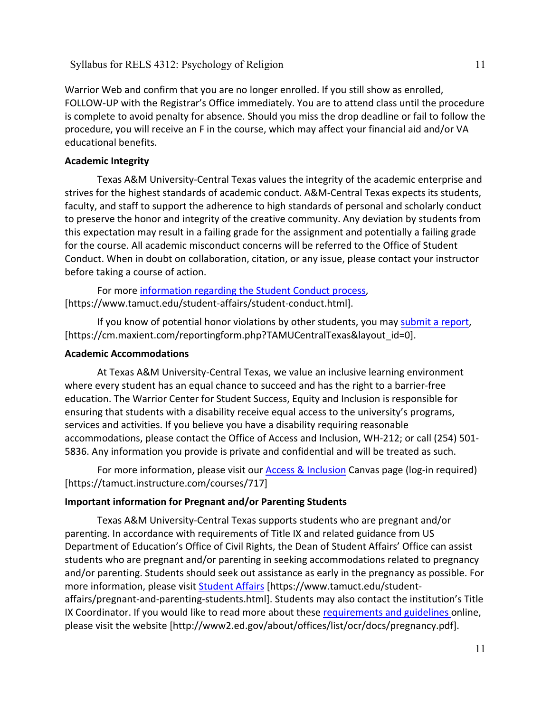Warrior Web and confirm that you are no longer enrolled. If you still show as enrolled, FOLLOW-UP with the Registrar's Office immediately. You are to attend class until the procedure is complete to avoid penalty for absence. Should you miss the drop deadline or fail to follow the procedure, you will receive an F in the course, which may affect your financial aid and/or VA educational benefits.

# **Academic Integrity**

Texas A&M University-Central Texas values the integrity of the academic enterprise and strives for the highest standards of academic conduct. A&M-Central Texas expects its students, faculty, and staff to support the adherence to high standards of personal and scholarly conduct to preserve the honor and integrity of the creative community. Any deviation by students from this expectation may result in a failing grade for the assignment and potentially a failing grade for the course. All academic misconduct concerns will be referred to the Office of Student Conduct. When in doubt on collaboration, citation, or any issue, please contact your instructor before taking a course of action.

For more [information](https://nam04.safelinks.protection.outlook.com/?url=https%3A%2F%2Fwww.tamuct.edu%2Fstudent-affairs%2Fstudent-conduct.html&data=04%7C01%7Clisa.bunkowski%40tamuct.edu%7Ccfb6e486f24745f53e1a08d910055cb2%7C9eed4e3000f744849ff193ad8005acec%7C0%7C0%7C637558437485252160%7CUnknown%7CTWFpbGZsb3d8eyJWIjoiMC4wLjAwMDAiLCJQIjoiV2luMzIiLCJBTiI6Ik1haWwiLCJXVCI6Mn0%3D%7C1000&sdata=yjftDEVHvLX%2FhM%2FcFU0B99krV1RgEWR%2BJ%2BhvtoR6TYk%3D&reserved=0) regarding the Student Conduct process, [https://www.tamuct.edu/student-affairs/student-conduct.html].

If you know of potential honor violations by other students, you may [submit](https://nam04.safelinks.protection.outlook.com/?url=https%3A%2F%2Fcm.maxient.com%2Freportingform.php%3FTAMUCentralTexas%26layout_id%3D0&data=04%7C01%7Clisa.bunkowski%40tamuct.edu%7Ccfb6e486f24745f53e1a08d910055cb2%7C9eed4e3000f744849ff193ad8005acec%7C0%7C0%7C637558437485262157%7CUnknown%7CTWFpbGZsb3d8eyJWIjoiMC4wLjAwMDAiLCJQIjoiV2luMzIiLCJBTiI6Ik1haWwiLCJXVCI6Mn0%3D%7C1000&sdata=CXGkOa6uPDPX1IMZ87z3aZDq2n91xfHKu4MMS43Ejjk%3D&reserved=0) a report, [https://cm.maxient.com/reportingform.php?TAMUCentralTexas&layout\_id=0].

## **Academic Accommodations**

At Texas A&M University-Central Texas, we value an inclusive learning environment where every student has an equal chance to succeed and has the right to a barrier-free education. The Warrior Center for Student Success, Equity and Inclusion is responsible for ensuring that students with a disability receive equal access to the university's programs, services and activities. If you believe you have a disability requiring reasonable accommodations, please contact the Office of Access and Inclusion, WH-212; or call (254) 501- 5836. Any information you provide is private and confidential and will be treated as such.

For more information, please visit our [Access & Inclusion](https://tamuct.instructure.com/courses/717) Canvas page (log-in required) [https://tamuct.instructure.com/courses/717]

# **Important information for Pregnant and/or Parenting Students**

Texas A&M University-Central Texas supports students who are pregnant and/or parenting. In accordance with requirements of Title IX and related guidance from US Department of Education's Office of Civil Rights, the Dean of Student Affairs' Office can assist students who are pregnant and/or parenting in seeking accommodations related to pregnancy and/or parenting. Students should seek out assistance as early in the pregnancy as possible. For more information, please visit [Student Affairs](https://www.tamuct.edu/student-affairs/pregnant-and-parenting-students.html) [https://www.tamuct.edu/studentaffairs/pregnant-and-parenting-students.html]. Students may also contact the institution's Title IX Coordinator. If you would like to read more about these [requirements and guidelines](http://www2.ed.gov/about/offices/list/ocr/docs/pregnancy.pdf) online, please visit the website [http://www2.ed.gov/about/offices/list/ocr/docs/pregnancy.pdf].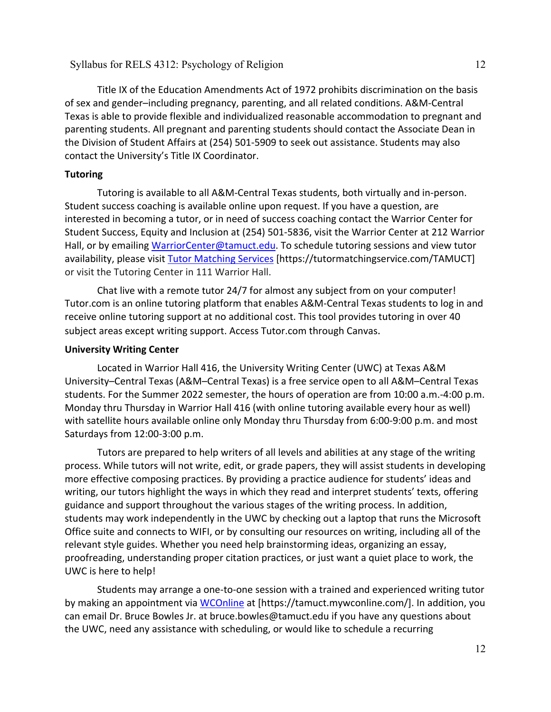Title IX of the Education Amendments Act of 1972 prohibits discrimination on the basis of sex and gender–including pregnancy, parenting, and all related conditions. A&M-Central Texas is able to provide flexible and individualized reasonable accommodation to pregnant and parenting students. All pregnant and parenting students should contact the Associate Dean in the Division of Student Affairs at (254) 501-5909 to seek out assistance. Students may also contact the University's Title IX Coordinator.

### **Tutoring**

Tutoring is available to all A&M-Central Texas students, both virtually and in-person. Student success coaching is available online upon request. If you have a question, are interested in becoming a tutor, or in need of success coaching contact the Warrior Center for Student Success, Equity and Inclusion at (254) 501-5836, visit the Warrior Center at 212 Warrior Hall, or by emailing [WarriorCenter@tamuct.edu.](mailto:WarriorCenter@tamuct.edu) To schedule tutoring sessions and view tutor availability, please visit Tutor [Matching](https://tutormatchingservice.com/TAMUCT) Services [https://tutormatchingservice.com/TAMUCT] or visit the Tutoring Center in 111 Warrior Hall.

Chat live with a remote tutor 24/7 for almost any subject from on your computer! Tutor.com is an online tutoring platform that enables A&M-Central Texas students to log in and receive online tutoring support at no additional cost. This tool provides tutoring in over 40 subject areas except writing support. Access Tutor.com through Canvas.

#### **University Writing Center**

Located in Warrior Hall 416, the University Writing Center (UWC) at Texas A&M University–Central Texas (A&M–Central Texas) is a free service open to all A&M–Central Texas students. For the Summer 2022 semester, the hours of operation are from 10:00 a.m.-4:00 p.m. Monday thru Thursday in Warrior Hall 416 (with online tutoring available every hour as well) with satellite hours available online only Monday thru Thursday from 6:00-9:00 p.m. and most Saturdays from 12:00-3:00 p.m.

Tutors are prepared to help writers of all levels and abilities at any stage of the writing process. While tutors will not write, edit, or grade papers, they will assist students in developing more effective composing practices. By providing a practice audience for students' ideas and writing, our tutors highlight the ways in which they read and interpret students' texts, offering guidance and support throughout the various stages of the writing process. In addition, students may work independently in the UWC by checking out a laptop that runs the Microsoft Office suite and connects to WIFI, or by consulting our resources on writing, including all of the relevant style guides. Whether you need help brainstorming ideas, organizing an essay, proofreading, understanding proper citation practices, or just want a quiet place to work, the UWC is here to help!

Students may arrange a one-to-one session with a trained and experienced writing tutor by making an appointment via [WCOnline](https://tamuct.mywconline.com/) at [https://tamuct.mywconline.com/]. In addition, you can email Dr. Bruce Bowles Jr. at bruce.bowles@tamuct.edu if you have any questions about the UWC, need any assistance with scheduling, or would like to schedule a recurring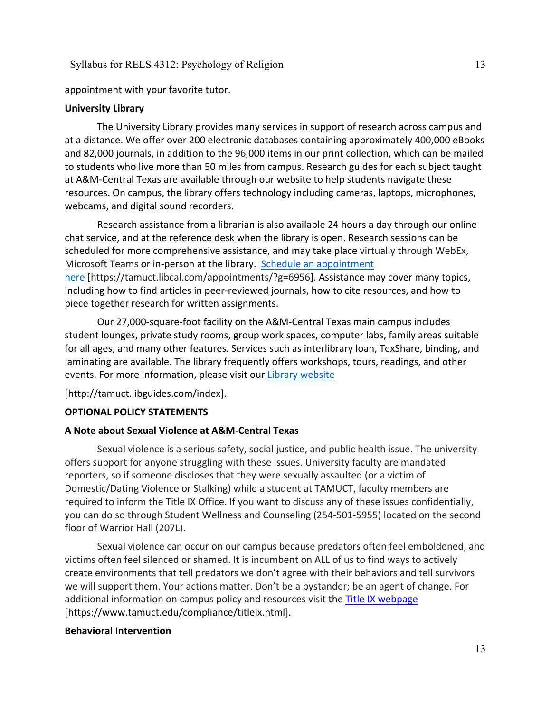appointment with your favorite tutor.

#### **University Library**

The University Library provides many services in support of research across campus and at a distance. We offer over 200 electronic databases containing approximately 400,000 eBooks and 82,000 journals, in addition to the 96,000 items in our print collection, which can be mailed to students who live more than 50 miles from campus. Research guides for each subject taught at A&M-Central Texas are available through our website to help students navigate these resources. On campus, the library offers technology including cameras, laptops, microphones, webcams, and digital sound recorders.

Research assistance from a librarian is also available 24 hours a day through our online chat service, and at the reference desk when the library is open. Research sessions can be scheduled for more comprehensive assistance, and may take place virtually through WebEx, Microsoft Teams or in-person at the library. Schedule an [appointment](https://nam04.safelinks.protection.outlook.com/?url=https%3A%2F%2Ftamuct.libcal.com%2Fappointments%2F%3Fg%3D6956&data=04%7C01%7Clisa.bunkowski%40tamuct.edu%7Cde2c07d9f5804f09518008d9ab7ba6ff%7C9eed4e3000f744849ff193ad8005acec%7C0%7C0%7C637729369835011558%7CUnknown%7CTWFpbGZsb3d8eyJWIjoiMC4wLjAwMDAiLCJQIjoiV2luMzIiLCJBTiI6Ik1haWwiLCJXVCI6Mn0%3D%7C3000&sdata=KhtjgRSAw9aq%2FoBsB6wyu8b7PSuGN5EGPypzr3Ty2No%3D&reserved=0) [here](https://nam04.safelinks.protection.outlook.com/?url=https%3A%2F%2Ftamuct.libcal.com%2Fappointments%2F%3Fg%3D6956&data=04%7C01%7Clisa.bunkowski%40tamuct.edu%7Cde2c07d9f5804f09518008d9ab7ba6ff%7C9eed4e3000f744849ff193ad8005acec%7C0%7C0%7C637729369835011558%7CUnknown%7CTWFpbGZsb3d8eyJWIjoiMC4wLjAwMDAiLCJQIjoiV2luMzIiLCJBTiI6Ik1haWwiLCJXVCI6Mn0%3D%7C3000&sdata=KhtjgRSAw9aq%2FoBsB6wyu8b7PSuGN5EGPypzr3Ty2No%3D&reserved=0) [https://tamuct.libcal.com/appointments/?g=6956]. Assistance may cover many topics, including how to find articles in peer-reviewed journals, how to cite resources, and how to piece together research for written assignments.

Our 27,000-square-foot facility on the A&M-Central Texas main campus includes student lounges, private study rooms, group work spaces, computer labs, family areas suitable for all ages, and many other features. Services such as interlibrary loan, TexShare, binding, and laminating are available. The library frequently offers workshops, tours, readings, and other events. For more information, please visit our Library [website](https://nam04.safelinks.protection.outlook.com/?url=https%3A%2F%2Ftamuct.libguides.com%2Findex&data=04%7C01%7Clisa.bunkowski%40tamuct.edu%7C7d8489e8839a4915335f08d916f067f2%7C9eed4e3000f744849ff193ad8005acec%7C0%7C0%7C637566044056484222%7CUnknown%7CTWFpbGZsb3d8eyJWIjoiMC4wLjAwMDAiLCJQIjoiV2luMzIiLCJBTiI6Ik1haWwiLCJXVCI6Mn0%3D%7C1000&sdata=2R755V6rcIyedGrd4Os5rkgn1PvhHKU3kUV1vBKiHFo%3D&reserved=0)

[http://tamuct.libguides.com/index].

### **OPTIONAL POLICY STATEMENTS**

#### **A Note about Sexual Violence at A&M-Central Texas**

Sexual violence is a serious safety, social justice, and public health issue. The university offers support for anyone struggling with these issues. University faculty are mandated reporters, so if someone discloses that they were sexually assaulted (or a victim of Domestic/Dating Violence or Stalking) while a student at TAMUCT, faculty members are required to inform the Title IX Office. If you want to discuss any of these issues confidentially, you can do so through Student Wellness and Counseling (254-501-5955) located on the second floor of Warrior Hall (207L).

Sexual violence can occur on our campus because predators often feel emboldened, and victims often feel silenced or shamed. It is incumbent on ALL of us to find ways to actively create environments that tell predators we don't agree with their behaviors and tell survivors we will support them. Your actions matter. Don't be a bystander; be an agent of change. For additional information on campus policy and resources visit the [Title IX webpage](https://www.tamuct.edu/compliance/titleix.html) [\[https://www.tamuct.edu/compliance/titleix.html\]](https://www.tamuct.edu/compliance/titleix.html).

#### **Behavioral Intervention**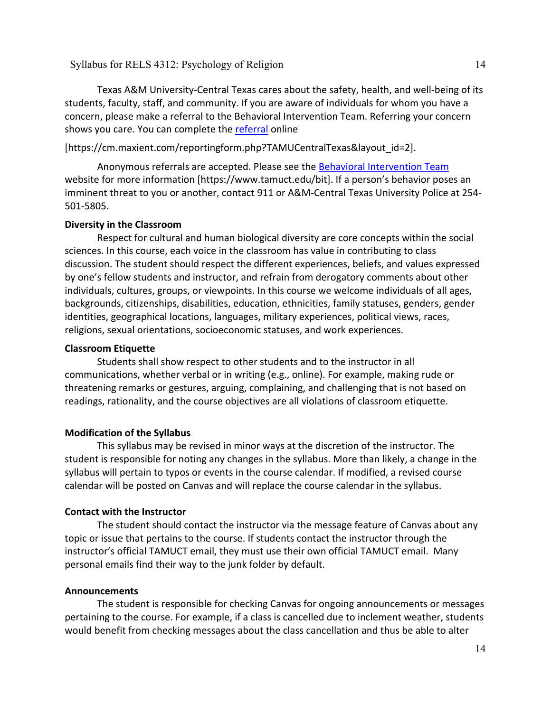Texas A&M University-Central Texas cares about the safety, health, and well-being of its students, faculty, staff, and community. If you are aware of individuals for whom you have a concern, please make a referral to the Behavioral Intervention Team. Referring your concern shows you care. You can complete the [referral](https://cm.maxient.com/reportingform.php?TAMUCentralTexas&layout_id=2) online

[https://cm.maxient.com/reportingform.php?TAMUCentralTexas&layout\_id=2].

Anonymous referrals are accepted. Please see the [Behavioral Intervention Team](https://www.tamuct.edu/bit) website for more information [https://www.tamuct.edu/bit]. If a person's behavior poses an imminent threat to you or another, contact 911 or A&M-Central Texas University Police at 254- 501-5805.

### **Diversity in the Classroom**

Respect for cultural and human biological diversity are core concepts within the social sciences. In this course, each voice in the classroom has value in contributing to class discussion. The student should respect the different experiences, beliefs, and values expressed by one's fellow students and instructor, and refrain from derogatory comments about other individuals, cultures, groups, or viewpoints. In this course we welcome individuals of all ages, backgrounds, citizenships, disabilities, education, ethnicities, family statuses, genders, gender identities, geographical locations, languages, military experiences, political views, races, religions, sexual orientations, socioeconomic statuses, and work experiences.

### **Classroom Etiquette**

Students shall show respect to other students and to the instructor in all communications, whether verbal or in writing (e.g., online). For example, making rude or threatening remarks or gestures, arguing, complaining, and challenging that is not based on readings, rationality, and the course objectives are all violations of classroom etiquette.

### **Modification of the Syllabus**

This syllabus may be revised in minor ways at the discretion of the instructor. The student is responsible for noting any changes in the syllabus. More than likely, a change in the syllabus will pertain to typos or events in the course calendar. If modified, a revised course calendar will be posted on Canvas and will replace the course calendar in the syllabus.

### **Contact with the Instructor**

The student should contact the instructor via the message feature of Canvas about any topic or issue that pertains to the course. If students contact the instructor through the instructor's official TAMUCT email, they must use their own official TAMUCT email. Many personal emails find their way to the junk folder by default.

### **Announcements**

The student is responsible for checking Canvas for ongoing announcements or messages pertaining to the course. For example, if a class is cancelled due to inclement weather, students would benefit from checking messages about the class cancellation and thus be able to alter